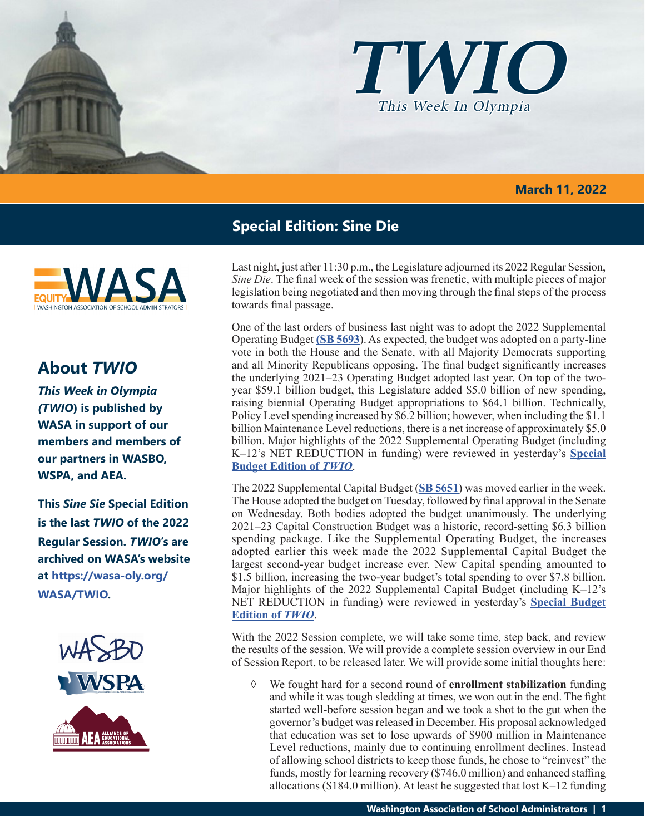

### **March 11, 2022**



# **About** *TWIO*

*This Week in Olympia (TWIO***) is published by WASA in support of our members and members of our partners in WASBO, WSPA, and AEA.**

**This** *Sine Sie* **Special Edition is the last** *TWIO* **of the 2022 Regular Session.** *TWIO***'s are archived on WASA's website at [https://wasa-oly.org/](http://app.leg.wa.gov/billsummary?Year=2021&BillNumber=1803) [WASA/TWIO](http://app.leg.wa.gov/billsummary?Year=2021&BillNumber=1803).**



# **Special Edition: Sine Die**

Last night, just after 11:30 p.m., the Legislature adjourned its 2022 Regular Session, *Sine Die*. The final week of the session was frenetic, with multiple pieces of major legislation being negotiated and then moving through the final steps of the process towards final passage.

One of the last orders of business last night was to adopt the 2022 Supplemental Operating Budget **[\(SB 5693](http://leap.leg.wa.gov/leap/budget/detail/2022/so2022Supp.asp)**). As expected, the budget was adopted on a party-line vote in both the House and the Senate, with all Majority Democrats supporting and all Minority Republicans opposing. The final budget significantly increases the underlying 2021–23 Operating Budget adopted last year. On top of the twoyear \$59.1 billion budget, this Legislature added \$5.0 billion of new spending, raising biennial Operating Budget appropriations to \$64.1 billion. Technically, Policy Level spending increased by \$6.2 billion; however, when including the \$1.1 billion Maintenance Level reductions, there is a net increase of approximately \$5.0 billion. Major highlights of the 2022 Supplemental Operating Budget (including K–12's NET REDUCTION in funding) were reviewed in yesterday's **[Special](https://wasa-oly.org/WASA/images/WASA/4.0 Government Relations/4.4.1 This Week In Olympia - TWIO/Download_Files/TWIO 2022/Special Edition-Final 2022 Supp Budgets.pdf) [Budget Edition of](https://wasa-oly.org/WASA/images/WASA/4.0 Government Relations/4.4.1 This Week In Olympia - TWIO/Download_Files/TWIO 2022/Special Edition-Final 2022 Supp Budgets.pdf)** *TWIO*.

The 2022 Supplemental Capital Budget (**[SB 5651](http://leap.leg.wa.gov/leap/budget/detail/2022/sc2022Supp.asp)**) was moved earlier in the week. The House adopted the budget on Tuesday, followed by final approval in the Senate on Wednesday. Both bodies adopted the budget unanimously. The underlying 2021–23 Capital Construction Budget was a historic, record-setting \$6.3 billion spending package. Like the Supplemental Operating Budget, the increases adopted earlier this week made the 2022 Supplemental Capital Budget the largest second-year budget increase ever. New Capital spending amounted to \$1.5 billion, increasing the two-year budget's total spending to over \$7.8 billion. Major highlights of the 2022 Supplemental Capital Budget (including K–12's NET REDUCTION in funding) were reviewed in yesterday's **[Special Budget](https://wasa-oly.org/WASA/images/WASA/4.0 Government Relations/4.4.1 This Week In Olympia - TWIO/Download_Files/TWIO 2022/Special Edition-Final 2022 Supp Budgets.pdf) [Edition of](https://wasa-oly.org/WASA/images/WASA/4.0 Government Relations/4.4.1 This Week In Olympia - TWIO/Download_Files/TWIO 2022/Special Edition-Final 2022 Supp Budgets.pdf)** *TWIO*.

With the 2022 Session complete, we will take some time, step back, and review the results of the session. We will provide a complete session overview in our End of Session Report, to be released later. We will provide some initial thoughts here:

◊ We fought hard for a second round of **enrollment stabilization** funding and while it was tough sledding at times, we won out in the end. The fight started well-before session began and we took a shot to the gut when the governor's budget was released in December. His proposal acknowledged that education was set to lose upwards of \$900 million in Maintenance Level reductions, mainly due to continuing enrollment declines. Instead of allowing school districts to keep those funds, he chose to "reinvest" the funds, mostly for learning recovery (\$746.0 million) and enhanced staffing allocations (\$184.0 million). At least he suggested that lost  $K-12$  funding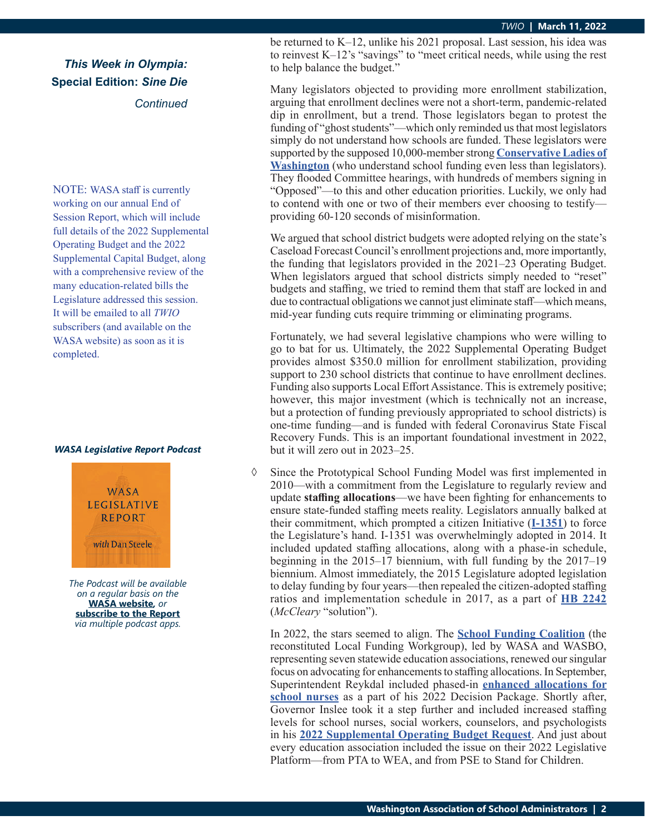## *This Week in Olympia:* **Special Edition:** *Sine Die Continued*

NOTE: WASA staff is currently working on our annual End of Session Report, which will include full details of the 2022 Supplemental Operating Budget and the 2022 Supplemental Capital Budget, along with a comprehensive review of the many education-related bills the Legislature addressed this session. It will be emailed to all *TWIO* subscribers (and available on the WASA website) as soon as it is completed.

#### *WASA Legislative Report Podcast*



*The Podcast will be available on a regular basis on the*  **[WASA website](http://app.leg.wa.gov/billsummary?Year=2021&BillNumber=1630)***, or* **[subscribe to the Report](http://app.leg.wa.gov/billsummary?Year=2021&BillNumber=1629)** *via multiple podcast apps.*

be returned to K–12, unlike his 2021 proposal. Last session, his idea was to reinvest K–12's "savings" to "meet critical needs, while using the rest to help balance the budget."

Many legislators objected to providing more enrollment stabilization, arguing that enrollment declines were not a short-term, pandemic-related dip in enrollment, but a trend. Those legislators began to protest the funding of "ghost students"—which only reminded us that most legislators simply do not understand how schools are funded. These legislators were supported by the supposed 10,000-member strong **[Conservative Ladies of](https://conservativeladiesofwa.com/) [Washington](https://conservativeladiesofwa.com/)** (who understand school funding even less than legislators). They flooded Committee hearings, with hundreds of members signing in "Opposed"—to this and other education priorities. Luckily, we only had to contend with one or two of their members ever choosing to testify providing 60-120 seconds of misinformation.

We argued that school district budgets were adopted relying on the state's Caseload Forecast Council's enrollment projections and, more importantly, the funding that legislators provided in the 2021–23 Operating Budget. When legislators argued that school districts simply needed to "reset" budgets and staffing, we tried to remind them that staff are locked in and due to contractual obligations we cannot just eliminate staff—which means, mid-year funding cuts require trimming or eliminating programs.

Fortunately, we had several legislative champions who were willing to go to bat for us. Ultimately, the 2022 Supplemental Operating Budget provides almost \$350.0 million for enrollment stabilization, providing support to 230 school districts that continue to have enrollment declines. Funding also supports Local Effort Assistance. This is extremely positive; however, this major investment (which is technically not an increase, but a protection of funding previously appropriated to school districts) is one-time funding—and is funded with federal Coronavirus State Fiscal Recovery Funds. This is an important foundational investment in 2022, but it will zero out in 2023–25.

 $\Diamond$  Since the Prototypical School Funding Model was first implemented in 2010—with a commitment from the Legislature to regularly review and update **staffing allocations**—we have been fighting for enhancements to ensure state-funded staffing meets reality. Legislators annually balked at their commitment, which prompted a citizen Initiative (**[I-1351](https://leg.wa.gov/House/Committees/OPRGeneral/Documents/2014/I-1351Summary.pdf)**) to force the Legislature's hand. I-1351 was overwhelmingly adopted in 2014. It included updated staffing allocations, along with a phase-in schedule, beginning in the 2015–17 biennium, with full funding by the 2017–19 biennium. Almost immediately, the 2015 Legislature adopted legislation to delay funding by four years—then repealed the citizen-adopted staffing ratios and implementation schedule in 2017, as a part of **[HB 2242](https://app.leg.wa.gov/billsummary?BillNumber=2242&Initiative=false&Year=2017)** (*McCleary* "solution").

In 2022, the stars seemed to align. The **[School Funding Coalition](https://wasa-oly.org/WASA/images/WASA/4.0 Government Relations/4.3 Current Issues/Download_Files/2022 SFC Priorities 10-14 Final .pdf)** (the reconstituted Local Funding Workgroup), led by WASA and WASBO, representing seven statewide education associations, renewed our singular focus on advocating for enhancements to staffing allocations. In September, Superintendent Reykdal included phased-in **[enhanced allocations for](https://www.k12.wa.us/sites/default/files/public/communications/2021docs/P4-Equitable-and-Sufficient-Access-to-Physical-Social-and-Emotional-Support-Staff.pdf) [school nurses](https://www.k12.wa.us/sites/default/files/public/communications/2021docs/P4-Equitable-and-Sufficient-Access-to-Physical-Social-and-Emotional-Support-Staff.pdf)** as a part of his 2022 Decision Package. Shortly after, Governor Inslee took it a step further and included increased staffing levels for school nurses, social workers, counselors, and psychologists in his **[2022 Supplemental Operating Budget Request](https://ofm.wa.gov/sites/default/files/public/budget/statebudget/highlights/budget22/07_Education2022.pdf)**. And just about every education association included the issue on their 2022 Legislative Platform—from PTA to WEA, and from PSE to Stand for Children.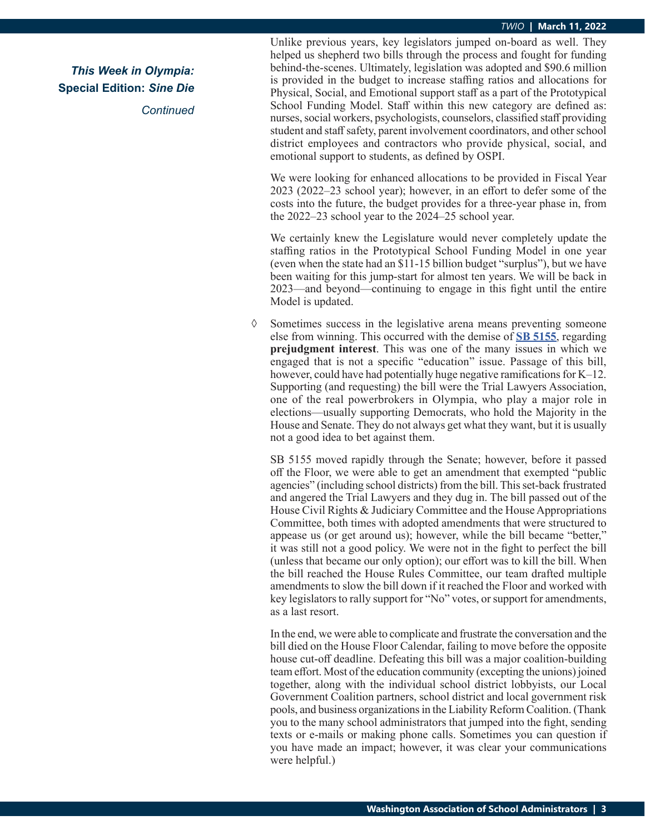#### *TWIO* **| March 11, 2022**

*This Week in Olympia:* **Special Edition:** *Sine Die*

*Continued*

Unlike previous years, key legislators jumped on-board as well. They helped us shepherd two bills through the process and fought for funding behind-the-scenes. Ultimately, legislation was adopted and \$90.6 million is provided in the budget to increase staffing ratios and allocations for Physical, Social, and Emotional support staff as a part of the Prototypical School Funding Model. Staff within this new category are defined as: nurses, social workers, psychologists, counselors, classified staff providing student and staff safety, parent involvement coordinators, and other school district employees and contractors who provide physical, social, and emotional support to students, as defined by OSPI.

We were looking for enhanced allocations to be provided in Fiscal Year 2023 (2022–23 school year); however, in an effort to defer some of the costs into the future, the budget provides for a three-year phase in, from the 2022–23 school year to the 2024–25 school year.

We certainly knew the Legislature would never completely update the staffing ratios in the Prototypical School Funding Model in one year (even when the state had an \$11-15 billion budget "surplus"), but we have been waiting for this jump-start for almost ten years. We will be back in 2023—and beyond—continuing to engage in this fight until the entire Model is updated.

◊ Sometimes success in the legislative arena means preventing someone else from winning. This occurred with the demise of **[SB 5155](https://app.leg.wa.gov/billsummary?BillNumber=5155&Initiative=false&Year=2021)**, regarding **prejudgment interest**. This was one of the many issues in which we engaged that is not a specific "education" issue. Passage of this bill, however, could have had potentially huge negative ramifications for K–12. Supporting (and requesting) the bill were the Trial Lawyers Association, one of the real powerbrokers in Olympia, who play a major role in elections—usually supporting Democrats, who hold the Majority in the House and Senate. They do not always get what they want, but it is usually not a good idea to bet against them.

SB 5155 moved rapidly through the Senate; however, before it passed off the Floor, we were able to get an amendment that exempted "public agencies" (including school districts) from the bill. This set-back frustrated and angered the Trial Lawyers and they dug in. The bill passed out of the House Civil Rights & Judiciary Committee and the House Appropriations Committee, both times with adopted amendments that were structured to appease us (or get around us); however, while the bill became "better," it was still not a good policy. We were not in the fight to perfect the bill (unless that became our only option); our effort was to kill the bill. When the bill reached the House Rules Committee, our team drafted multiple amendments to slow the bill down if it reached the Floor and worked with key legislators to rally support for "No" votes, or support for amendments, as a last resort.

In the end, we were able to complicate and frustrate the conversation and the bill died on the House Floor Calendar, failing to move before the opposite house cut-off deadline. Defeating this bill was a major coalition-building team effort. Most of the education community (excepting the unions) joined together, along with the individual school district lobbyists, our Local Government Coalition partners, school district and local government risk pools, and business organizations in the Liability Reform Coalition. (Thank you to the many school administrators that jumped into the fight, sending texts or e-mails or making phone calls. Sometimes you can question if you have made an impact; however, it was clear your communications were helpful.)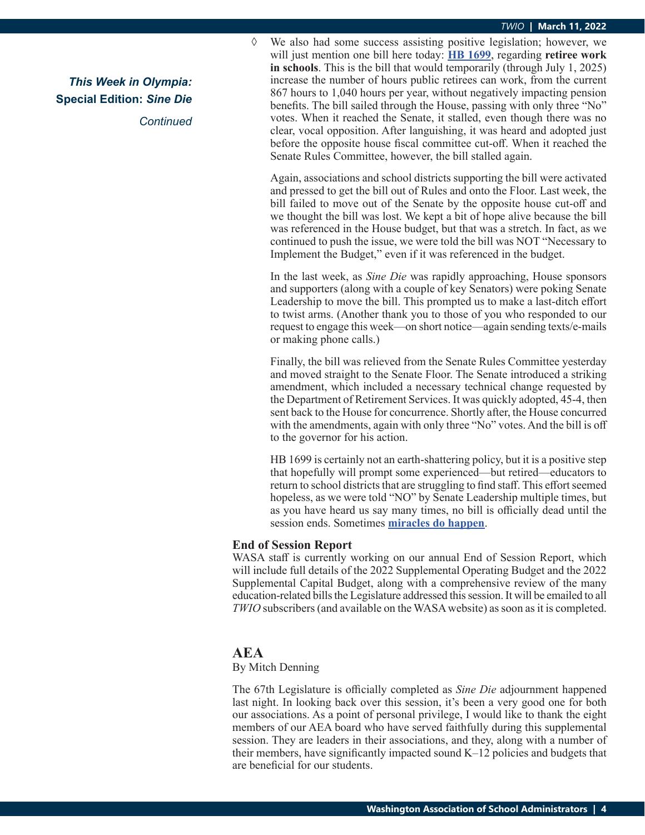*This Week in Olympia:* **Special Edition:** *Sine Die Continued* ◊ We also had some success assisting positive legislation; however, we will just mention one bill here today: **[HB 1699](https://app.leg.wa.gov/billsummary?BillNumber=1699&Year=2021&Initiative=false)**, regarding **retiree work in schools**. This is the bill that would temporarily (through July 1, 2025) increase the number of hours public retirees can work, from the current 867 hours to 1,040 hours per year, without negatively impacting pension benefits. The bill sailed through the House, passing with only three "No" votes. When it reached the Senate, it stalled, even though there was no clear, vocal opposition. After languishing, it was heard and adopted just before the opposite house fiscal committee cut-off. When it reached the Senate Rules Committee, however, the bill stalled again.

Again, associations and school districts supporting the bill were activated and pressed to get the bill out of Rules and onto the Floor. Last week, the bill failed to move out of the Senate by the opposite house cut-off and we thought the bill was lost. We kept a bit of hope alive because the bill was referenced in the House budget, but that was a stretch. In fact, as we continued to push the issue, we were told the bill was NOT "Necessary to Implement the Budget," even if it was referenced in the budget.

In the last week, as *Sine Die* was rapidly approaching, House sponsors and supporters (along with a couple of key Senators) were poking Senate Leadership to move the bill. This prompted us to make a last-ditch effort to twist arms. (Another thank you to those of you who responded to our request to engage this week—on short notice—again sending texts/e-mails or making phone calls.)

Finally, the bill was relieved from the Senate Rules Committee yesterday and moved straight to the Senate Floor. The Senate introduced a striking amendment, which included a necessary technical change requested by the Department of Retirement Services. It was quickly adopted, 45-4, then sent back to the House for concurrence. Shortly after, the House concurred with the amendments, again with only three "No" votes. And the bill is off to the governor for his action.

HB 1699 is certainly not an earth-shattering policy, but it is a positive step that hopefully will prompt some experienced—but retired—educators to return to school districts that are struggling to find staff. This effort seemed hopeless, as we were told "NO" by Senate Leadership multiple times, but as you have heard us say many times, no bill is officially dead until the session ends. Sometimes **[miracles do happen](https://www.bing.com/videos/search?q=do+you+believe+in+miracles+al+michaels&docid=608036458763349185&mid=26FBE4205B02D838A45126FBE4205B02D838A451&view=detail&FORM=VIRE)**.

### **End of Session Report**

WASA staff is currently working on our annual End of Session Report, which will include full details of the 2022 Supplemental Operating Budget and the 2022 Supplemental Capital Budget, along with a comprehensive review of the many education-related bills the Legislature addressed this session. It will be emailed to all *TWIO* subscribers (and available on the WASA website) as soon as it is completed.

## **AEA**

### By Mitch Denning

The 67th Legislature is officially completed as *Sine Die* adjournment happened last night. In looking back over this session, it's been a very good one for both our associations. As a point of personal privilege, I would like to thank the eight members of our AEA board who have served faithfully during this supplemental session. They are leaders in their associations, and they, along with a number of their members, have significantly impacted sound K–12 policies and budgets that are beneficial for our students.